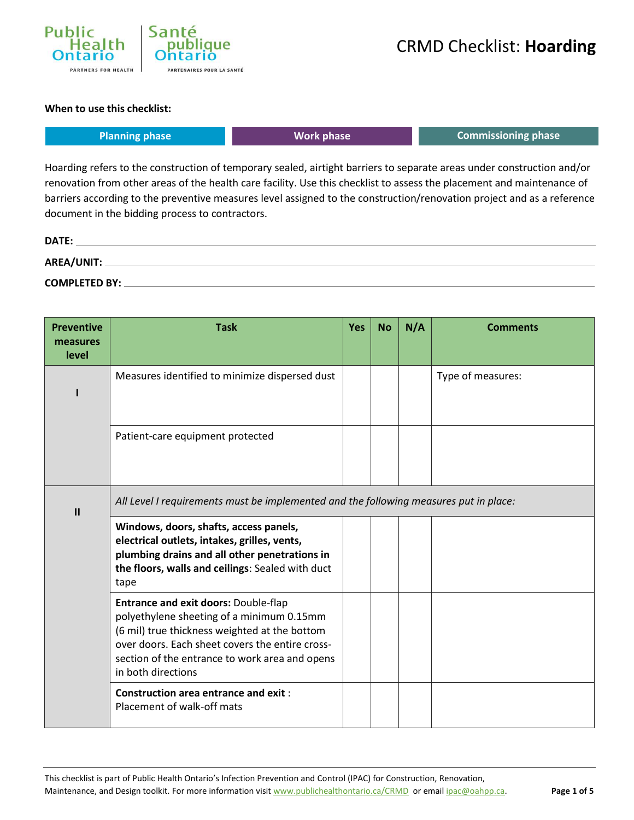

#### **When to use this checklist:**

| <b>Planning phase</b> | Work phase                                                                                                             | <b>Commissioning phase</b> |
|-----------------------|------------------------------------------------------------------------------------------------------------------------|----------------------------|
|                       | Hoarding refers to the construction of temporary sealed, airtight barriers to separate areas under construction and/or |                            |

renovation from other areas of the health care facility. Use this checklist to assess the placement and maintenance of barriers according to the preventive measures level assigned to the construction/renovation project and as a reference document in the bidding process to contractors.

| DATE:                |  |
|----------------------|--|
| AREA/UNIT:           |  |
| <b>COMPLETED BY:</b> |  |

| <b>Preventive</b><br>measures<br>level | <b>Task</b>                                                                                                                                                                                                                                                          | <b>Yes</b> | <b>No</b> | N/A | <b>Comments</b>   |
|----------------------------------------|----------------------------------------------------------------------------------------------------------------------------------------------------------------------------------------------------------------------------------------------------------------------|------------|-----------|-----|-------------------|
|                                        | Measures identified to minimize dispersed dust                                                                                                                                                                                                                       |            |           |     | Type of measures: |
|                                        | Patient-care equipment protected                                                                                                                                                                                                                                     |            |           |     |                   |
| $\mathbf{I}$                           | All Level I requirements must be implemented and the following measures put in place:                                                                                                                                                                                |            |           |     |                   |
|                                        | Windows, doors, shafts, access panels,<br>electrical outlets, intakes, grilles, vents,<br>plumbing drains and all other penetrations in<br>the floors, walls and ceilings: Sealed with duct<br>tape                                                                  |            |           |     |                   |
|                                        | <b>Entrance and exit doors: Double-flap</b><br>polyethylene sheeting of a minimum 0.15mm<br>(6 mil) true thickness weighted at the bottom<br>over doors. Each sheet covers the entire cross-<br>section of the entrance to work area and opens<br>in both directions |            |           |     |                   |
|                                        | <b>Construction area entrance and exit:</b><br>Placement of walk-off mats                                                                                                                                                                                            |            |           |     |                   |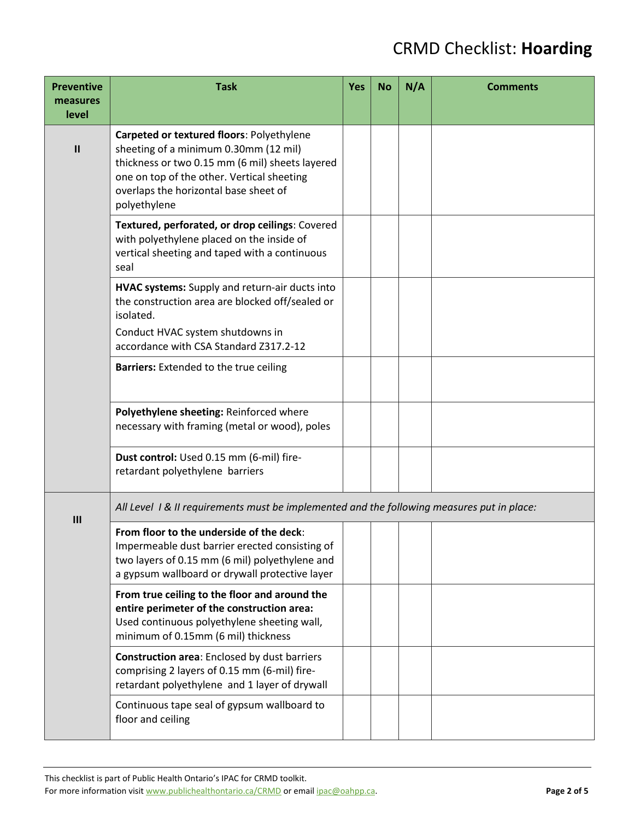| <b>Preventive</b><br>measures | <b>Task</b>                                                                                                                                                                                                                                  | <b>Yes</b> | <b>No</b> | N/A | <b>Comments</b> |  |
|-------------------------------|----------------------------------------------------------------------------------------------------------------------------------------------------------------------------------------------------------------------------------------------|------------|-----------|-----|-----------------|--|
| level                         |                                                                                                                                                                                                                                              |            |           |     |                 |  |
| $\mathbf{I}$                  | Carpeted or textured floors: Polyethylene<br>sheeting of a minimum 0.30mm (12 mil)<br>thickness or two 0.15 mm (6 mil) sheets layered<br>one on top of the other. Vertical sheeting<br>overlaps the horizontal base sheet of<br>polyethylene |            |           |     |                 |  |
|                               | Textured, perforated, or drop ceilings: Covered<br>with polyethylene placed on the inside of<br>vertical sheeting and taped with a continuous<br>seal                                                                                        |            |           |     |                 |  |
|                               | HVAC systems: Supply and return-air ducts into<br>the construction area are blocked off/sealed or<br>isolated.                                                                                                                               |            |           |     |                 |  |
|                               | Conduct HVAC system shutdowns in<br>accordance with CSA Standard Z317.2-12                                                                                                                                                                   |            |           |     |                 |  |
|                               | <b>Barriers:</b> Extended to the true ceiling                                                                                                                                                                                                |            |           |     |                 |  |
|                               | Polyethylene sheeting: Reinforced where<br>necessary with framing (metal or wood), poles                                                                                                                                                     |            |           |     |                 |  |
|                               | Dust control: Used 0.15 mm (6-mil) fire-<br>retardant polyethylene barriers                                                                                                                                                                  |            |           |     |                 |  |
| III                           | All Level 1 & II requirements must be implemented and the following measures put in place:                                                                                                                                                   |            |           |     |                 |  |
|                               | From floor to the underside of the deck:<br>Impermeable dust barrier erected consisting of<br>two layers of 0.15 mm (6 mil) polyethylene and<br>a gypsum wallboard or drywall protective layer                                               |            |           |     |                 |  |
|                               | From true ceiling to the floor and around the<br>entire perimeter of the construction area:<br>Used continuous polyethylene sheeting wall,<br>minimum of 0.15mm (6 mil) thickness                                                            |            |           |     |                 |  |
|                               | <b>Construction area:</b> Enclosed by dust barriers<br>comprising 2 layers of 0.15 mm (6-mil) fire-<br>retardant polyethylene and 1 layer of drywall                                                                                         |            |           |     |                 |  |
|                               | Continuous tape seal of gypsum wallboard to<br>floor and ceiling                                                                                                                                                                             |            |           |     |                 |  |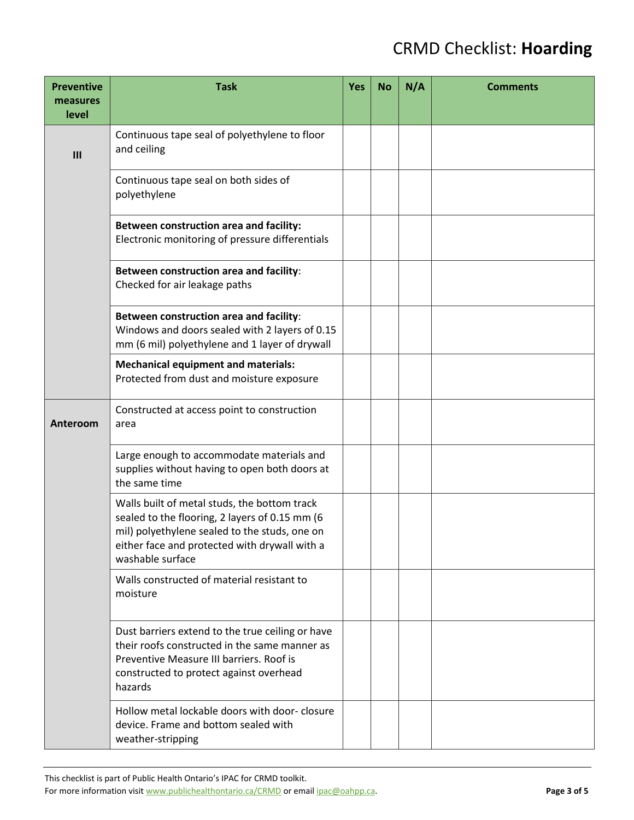| <b>Preventive</b><br>measures<br>level | <b>Task</b>                                                                                                                                                                                                          | <b>Yes</b> | <b>No</b> | N/A | <b>Comments</b> |
|----------------------------------------|----------------------------------------------------------------------------------------------------------------------------------------------------------------------------------------------------------------------|------------|-----------|-----|-----------------|
| III                                    | Continuous tape seal of polyethylene to floor<br>and ceiling                                                                                                                                                         |            |           |     |                 |
|                                        | Continuous tape seal on both sides of<br>polyethylene                                                                                                                                                                |            |           |     |                 |
|                                        | Between construction area and facility:<br>Electronic monitoring of pressure differentials                                                                                                                           |            |           |     |                 |
|                                        | Between construction area and facility:<br>Checked for air leakage paths                                                                                                                                             |            |           |     |                 |
|                                        | Between construction area and facility:<br>Windows and doors sealed with 2 layers of 0.15<br>mm (6 mil) polyethylene and 1 layer of drywall                                                                          |            |           |     |                 |
|                                        | <b>Mechanical equipment and materials:</b><br>Protected from dust and moisture exposure                                                                                                                              |            |           |     |                 |
| Anteroom                               | Constructed at access point to construction<br>area                                                                                                                                                                  |            |           |     |                 |
|                                        | Large enough to accommodate materials and<br>supplies without having to open both doors at<br>the same time                                                                                                          |            |           |     |                 |
|                                        | Walls built of metal studs, the bottom track<br>sealed to the flooring, 2 layers of 0.15 mm (6<br>mil) polyethylene sealed to the studs, one on<br>either face and protected with drywall with a<br>washable surface |            |           |     |                 |
|                                        | Walls constructed of material resistant to<br>moisture                                                                                                                                                               |            |           |     |                 |
|                                        | Dust barriers extend to the true ceiling or have<br>their roofs constructed in the same manner as<br>Preventive Measure III barriers. Roof is<br>constructed to protect against overhead<br>hazards                  |            |           |     |                 |
|                                        | Hollow metal lockable doors with door-closure<br>device. Frame and bottom sealed with<br>weather-stripping                                                                                                           |            |           |     |                 |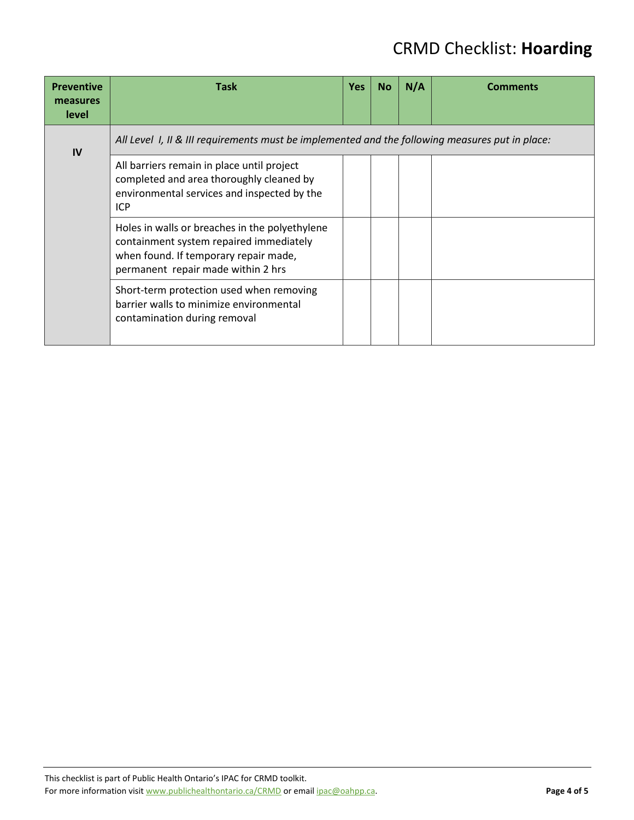| <b>Preventive</b><br>measures<br>level | <b>Task</b>                                                                                                                                                              | <b>Yes</b> | <b>No</b> | N/A | Comments |
|----------------------------------------|--------------------------------------------------------------------------------------------------------------------------------------------------------------------------|------------|-----------|-----|----------|
| IV                                     | All Level 1, II & III requirements must be implemented and the following measures put in place:                                                                          |            |           |     |          |
|                                        | All barriers remain in place until project<br>completed and area thoroughly cleaned by<br>environmental services and inspected by the<br><b>ICP</b>                      |            |           |     |          |
|                                        | Holes in walls or breaches in the polyethylene<br>containment system repaired immediately<br>when found. If temporary repair made,<br>permanent repair made within 2 hrs |            |           |     |          |
|                                        | Short-term protection used when removing<br>barrier walls to minimize environmental<br>contamination during removal                                                      |            |           |     |          |